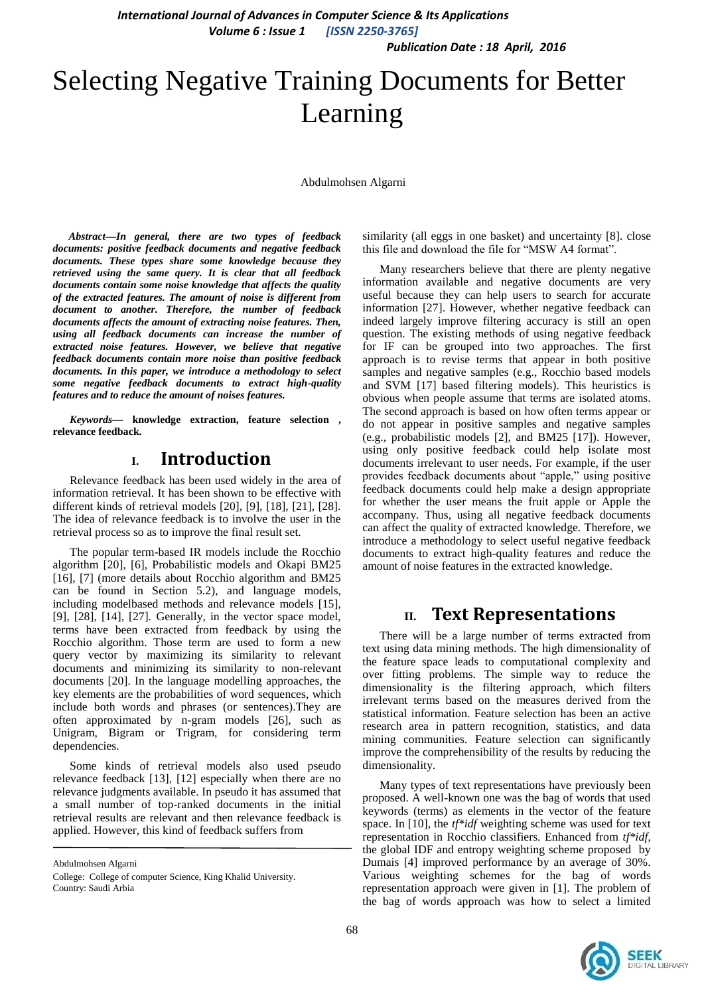*Publication Date : 18 April, 2016*

# Selecting Negative Training Documents for Better Learning

Abdulmohsen Algarni

*Abstract***—***In general, there are two types of feedback documents: positive feedback documents and negative feedback documents. These types share some knowledge because they retrieved using the same query. It is clear that all feedback documents contain some noise knowledge that affects the quality of the extracted features. The amount of noise is different from document to another. Therefore, the number of feedback documents affects the amount of extracting noise features. Then, using all feedback documents can increase the number of extracted noise features. However, we believe that negative feedback documents contain more noise than positive feedback documents. In this paper, we introduce a methodology to select some negative feedback documents to extract high-quality features and to reduce the amount of noises features.*

*Keywords—* **knowledge extraction, feature selection , relevance feedback.**

## **I. Introduction**

Relevance feedback has been used widely in the area of information retrieval. It has been shown to be effective with different kinds of retrieval models [20], [9], [18], [21], [28]. The idea of relevance feedback is to involve the user in the retrieval process so as to improve the final result set.

The popular term-based IR models include the Rocchio algorithm [20], [6], Probabilistic models and Okapi BM25 [16], [7] (more details about Rocchio algorithm and BM25 can be found in Section 5.2), and language models, including modelbased methods and relevance models [15], [9], [28], [14], [27]. Generally, in the vector space model, terms have been extracted from feedback by using the Rocchio algorithm. Those term are used to form a new query vector by maximizing its similarity to relevant documents and minimizing its similarity to non-relevant documents [20]. In the language modelling approaches, the key elements are the probabilities of word sequences, which include both words and phrases (or sentences).They are often approximated by n-gram models [26], such as Unigram, Bigram or Trigram, for considering term dependencies.

Some kinds of retrieval models also used pseudo relevance feedback [13], [12] especially when there are no relevance judgments available. In pseudo it has assumed that a small number of top-ranked documents in the initial retrieval results are relevant and then relevance feedback is applied. However, this kind of feedback suffers from

Abdulmohsen Algarni

similarity (all eggs in one basket) and uncertainty [8]. close this file and download the file for "MSW A4 format".

Many researchers believe that there are plenty negative information available and negative documents are very useful because they can help users to search for accurate information [27]. However, whether negative feedback can indeed largely improve filtering accuracy is still an open question. The existing methods of using negative feedback for IF can be grouped into two approaches. The first approach is to revise terms that appear in both positive samples and negative samples (e.g., Rocchio based models and SVM [17] based filtering models). This heuristics is obvious when people assume that terms are isolated atoms. The second approach is based on how often terms appear or do not appear in positive samples and negative samples (e.g., probabilistic models [2], and BM25 [17]). However, using only positive feedback could help isolate most documents irrelevant to user needs. For example, if the user provides feedback documents about "apple," using positive feedback documents could help make a design appropriate for whether the user means the fruit apple or Apple the accompany. Thus, using all negative feedback documents can affect the quality of extracted knowledge. Therefore, we introduce a methodology to select useful negative feedback documents to extract high-quality features and reduce the amount of noise features in the extracted knowledge.

## **II. Text Representations**

There will be a large number of terms extracted from text using data mining methods. The high dimensionality of the feature space leads to computational complexity and over fitting problems. The simple way to reduce the dimensionality is the filtering approach, which filters irrelevant terms based on the measures derived from the statistical information. Feature selection has been an active research area in pattern recognition, statistics, and data mining communities. Feature selection can significantly improve the comprehensibility of the results by reducing the dimensionality.

Many types of text representations have previously been proposed. A well-known one was the bag of words that used keywords (terms) as elements in the vector of the feature space. In [10], the *tf\*idf* weighting scheme was used for text representation in Rocchio classifiers. Enhanced from *tf\*idf*, the global IDF and entropy weighting scheme proposed by Dumais [4] improved performance by an average of 30%. Various weighting schemes for the bag of words representation approach were given in [1]. The problem of the bag of words approach was how to select a limited



College: College of computer Science, King Khalid University. Country: Saudi Arbia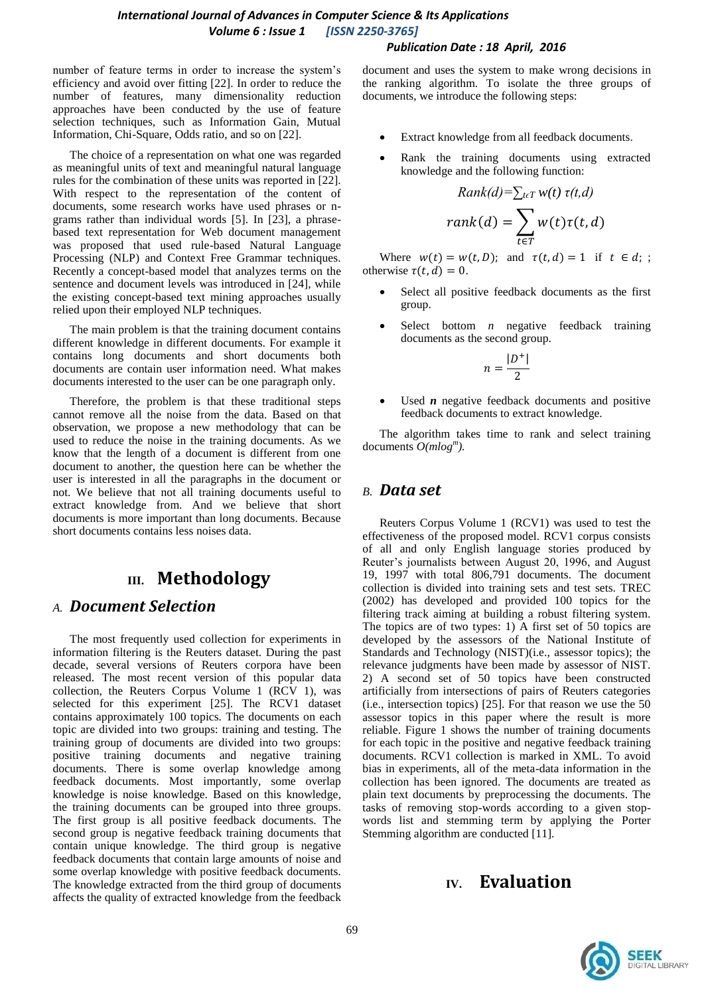#### *Publication Date : 18 April, 2016*

number of feature terms in order to increase the system's efficiency and avoid over fitting [22]. In order to reduce the number of features, many dimensionality reduction approaches have been conducted by the use of feature selection techniques, such as Information Gain, Mutual Information, Chi-Square, Odds ratio, and so on [22].

The choice of a representation on what one was regarded as meaningful units of text and meaningful natural language rules for the combination of these units was reported in [22]. With respect to the representation of the content of documents, some research works have used phrases or ngrams rather than individual words [5]. In [23], a phrasebased text representation for Web document management was proposed that used rule-based Natural Language Processing (NLP) and Context Free Grammar techniques. Recently a concept-based model that analyzes terms on the sentence and document levels was introduced in [24], while the existing concept-based text mining approaches usually relied upon their employed NLP techniques.

The main problem is that the training document contains different knowledge in different documents. For example it contains long documents and short documents both documents are contain user information need. What makes documents interested to the user can be one paragraph only.

Therefore, the problem is that these traditional steps cannot remove all the noise from the data. Based on that observation, we propose a new methodology that can be used to reduce the noise in the training documents. As we know that the length of a document is different from one document to another, the question here can be whether the user is interested in all the paragraphs in the document or not. We believe that not all training documents useful to extract knowledge from. And we believe that short documents is more important than long documents. Because short documents contains less noises data.

# **III. Methodology**

## *A. Document Selection*

The most frequently used collection for experiments in information filtering is the Reuters dataset. During the past decade, several versions of Reuters corpora have been released. The most recent version of this popular data collection, the Reuters Corpus Volume 1 (RCV 1), was selected for this experiment [25]. The RCV1 dataset contains approximately 100 topics. The documents on each topic are divided into two groups: training and testing. The training group of documents are divided into two groups: positive training documents and negative training documents. There is some overlap knowledge among feedback documents. Most importantly, some overlap knowledge is noise knowledge. Based on this knowledge, the training documents can be grouped into three groups. The first group is all positive feedback documents. The second group is negative feedback training documents that contain unique knowledge. The third group is negative feedback documents that contain large amounts of noise and some overlap knowledge with positive feedback documents. The knowledge extracted from the third group of documents affects the quality of extracted knowledge from the feedback document and uses the system to make wrong decisions in the ranking algorithm. To isolate the three groups of documents, we introduce the following steps:

- Extract knowledge from all feedback documents.
- Rank the training documents using extracted knowledge and the following function:

$$
Rank(d) = \sum_{t \in T} w(t) \tau(t, d)
$$

$$
rank(d) = \sum_{t \in T} w(t) \tau(t, d)
$$

Where  $w(t) = w(t, D)$ ; and  $\tau(t, d) = 1$  if  $t \in d$ ; otherwise  $\tau(t, d) = 0$ .

- Select all positive feedback documents as the first group.
- Select bottom *n* negative feedback training documents as the second group.

$$
n=\frac{|D^+|}{2}
$$

Used *n* negative feedback documents and positive feedback documents to extract knowledge.

The algorithm takes time to rank and select training documents *O(mlog<sup>m</sup> ).*

## *B. Data set*

Reuters Corpus Volume 1 (RCV1) was used to test the effectiveness of the proposed model. RCV1 corpus consists of all and only English language stories produced by Reuter's journalists between August 20, 1996, and August 19, 1997 with total 806,791 documents. The document collection is divided into training sets and test sets. TREC (2002) has developed and provided 100 topics for the filtering track aiming at building a robust filtering system. The topics are of two types: 1) A first set of 50 topics are developed by the assessors of the National Institute of Standards and Technology (NIST)(i.e., assessor topics); the relevance judgments have been made by assessor of NIST. 2) A second set of 50 topics have been constructed artificially from intersections of pairs of Reuters categories (i.e., intersection topics) [25]. For that reason we use the 50 assessor topics in this paper where the result is more reliable. Figure 1 shows the number of training documents for each topic in the positive and negative feedback training documents. RCV1 collection is marked in XML. To avoid bias in experiments, all of the meta-data information in the collection has been ignored. The documents are treated as plain text documents by preprocessing the documents. The tasks of removing stop-words according to a given stopwords list and stemming term by applying the Porter Stemming algorithm are conducted [11].

# **IV. Evaluation**

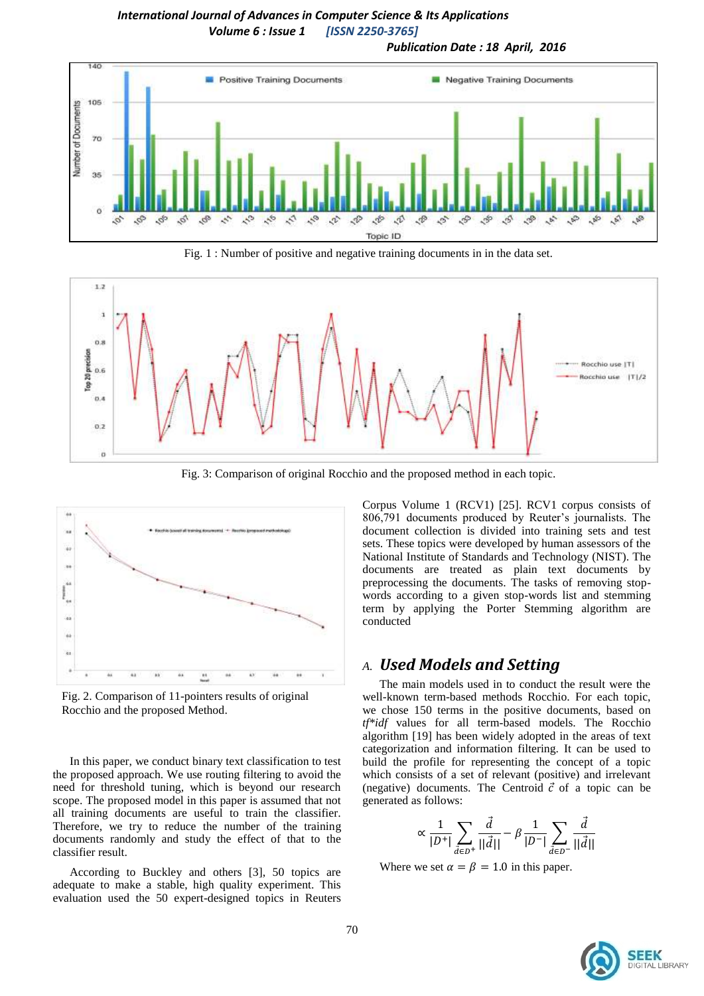#### *International Journal of Advances in Computer Science & Its Applications Volume 6 : Issue 1 [ISSN 2250-3765] Publication Date : 18 April, 2016*



Fig. 1 : Number of positive and negative training documents in in the data set.



Fig. 3: Comparison of original Rocchio and the proposed method in each topic.



Fig. 2. Comparison of 11-pointers results of original Rocchio and the proposed Method.

In this paper, we conduct binary text classification to test the proposed approach. We use routing filtering to avoid the need for threshold tuning, which is beyond our research scope. The proposed model in this paper is assumed that not all training documents are useful to train the classifier. Therefore, we try to reduce the number of the training documents randomly and study the effect of that to the classifier result.

According to Buckley and others [3], 50 topics are adequate to make a stable, high quality experiment. This evaluation used the 50 expert-designed topics in Reuters

Corpus Volume 1 (RCV1) [25]. RCV1 corpus consists of 806,791 documents produced by Reuter's journalists. The document collection is divided into training sets and test sets. These topics were developed by human assessors of the National Institute of Standards and Technology (NIST). The documents are treated as plain text documents by preprocessing the documents. The tasks of removing stopwords according to a given stop-words list and stemming term by applying the Porter Stemming algorithm are conducted

#### *A. Used Models and Setting*

The main models used in to conduct the result were the well-known term-based methods Rocchio. For each topic, we chose 150 terms in the positive documents, based on *tf\*idf* values for all term-based models. The Rocchio algorithm [19] has been widely adopted in the areas of text categorization and information filtering. It can be used to build the profile for representing the concept of a topic which consists of a set of relevant (positive) and irrelevant (negative) documents. The Centroid  $\vec{c}$  of a topic can be generated as follows:

$$
\propto \frac{1}{|D^+|} \sum_{\vec{d} \in D^+} \frac{\vec{d}}{||\vec{d}||} - \beta \frac{1}{|D^-|} \sum_{\vec{d} \in D^-} \frac{\vec{d}}{||\vec{d}||}
$$

Where we set  $\alpha = \beta = 1.0$  in this paper.

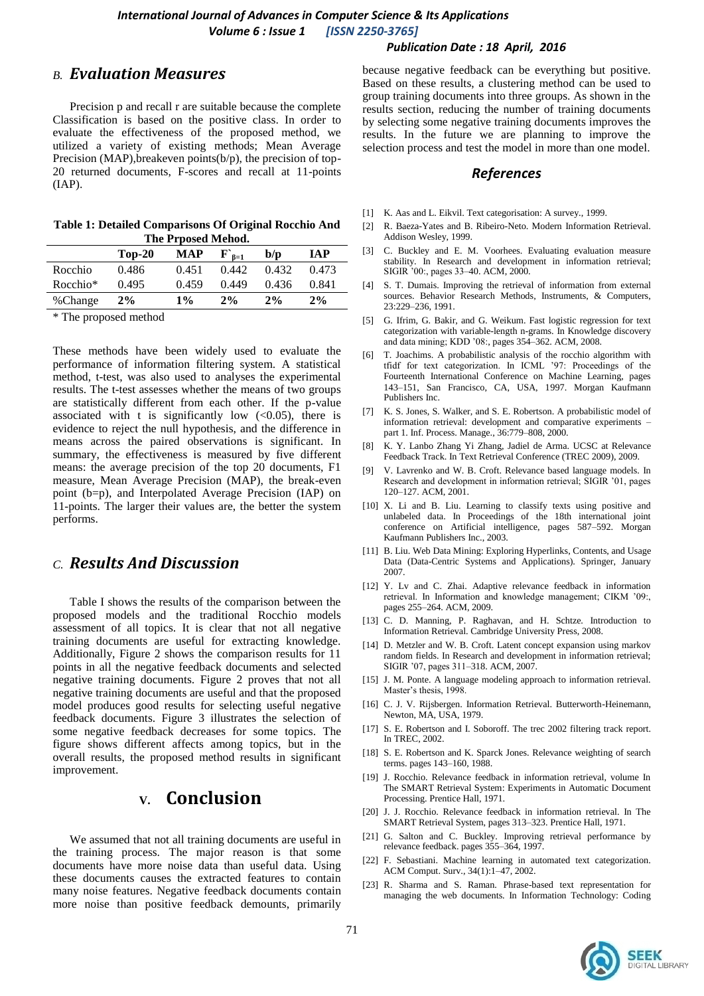#### *Publication Date : 18 April, 2016*

## *B. Evaluation Measures*

Precision p and recall r are suitable because the complete Classification is based on the positive class. In order to evaluate the effectiveness of the proposed method, we utilized a variety of existing methods; Mean Average Precision (MAP), breakeven points(b/p), the precision of top-20 returned documents, F-scores and recall at 11-points (IAP).

| Table 1: Detailed Comparisons Of Original Rocchio And |  |
|-------------------------------------------------------|--|
| The Prposed Mehod.                                    |  |

|          | $Top-20$ | MAP   | $\mathbf{F}_{\mathbf{6}=1}^{\mathbf{6}}$ | b/p   | TA P  |
|----------|----------|-------|------------------------------------------|-------|-------|
| Rocchio  | 0.486    | 0.451 | 0.442                                    | 0.432 | 0.473 |
| Rocchio* | 0.495    | 0.459 | 0.449                                    | 0.436 | 0.841 |
| %Change  | $2\%$    | $1\%$ | 2%                                       | $2\%$ | 2%    |
|          |          |       |                                          |       |       |

\* The proposed method

These methods have been widely used to evaluate the performance of information filtering system. A statistical method, t-test, was also used to analyses the experimental results. The t-test assesses whether the means of two groups are statistically different from each other. If the p-value associated with t is significantly low  $( $0.05$ ), there is$ evidence to reject the null hypothesis, and the difference in means across the paired observations is significant. In summary, the effectiveness is measured by five different means: the average precision of the top 20 documents, F1 measure, Mean Average Precision (MAP), the break-even point (b=p), and Interpolated Average Precision (IAP) on 11-points. The larger their values are, the better the system performs.

## *C. Results And Discussion*

Table I shows the results of the comparison between the proposed models and the traditional Rocchio models assessment of all topics. It is clear that not all negative training documents are useful for extracting knowledge. Additionally, Figure 2 shows the comparison results for 11 points in all the negative feedback documents and selected negative training documents. Figure 2 proves that not all negative training documents are useful and that the proposed model produces good results for selecting useful negative feedback documents. Figure 3 illustrates the selection of some negative feedback decreases for some topics. The figure shows different affects among topics, but in the overall results, the proposed method results in significant improvement.

# **V. Conclusion**

We assumed that not all training documents are useful in the training process. The major reason is that some documents have more noise data than useful data. Using these documents causes the extracted features to contain many noise features. Negative feedback documents contain more noise than positive feedback demounts, primarily

because negative feedback can be everything but positive. Based on these results, a clustering method can be used to group training documents into three groups. As shown in the results section, reducing the number of training documents by selecting some negative training documents improves the results. In the future we are planning to improve the selection process and test the model in more than one model.

#### *References*

- [1] K. Aas and L. Eikvil. Text categorisation: A survey., 1999.
- [2] R. Baeza-Yates and B. Ribeiro-Neto. Modern Information Retrieval. Addison Wesley, 1999.
- [3] C. Buckley and E. M. Voorhees. Evaluating evaluation measure stability. In Research and development in information retrieval; SIGIR '00:, pages 33–40. ACM, 2000.
- [4] S. T. Dumais. Improving the retrieval of information from external sources. Behavior Research Methods, Instruments, & Computers, 23:229–236, 1991.
- [5] G. Ifrim, G. Bakir, and G. Weikum. Fast logistic regression for text categorization with variable-length n-grams. In Knowledge discovery and data mining; KDD '08:, pages 354–362. ACM, 2008.
- [6] T. Joachims. A probabilistic analysis of the rocchio algorithm with tfidf for text categorization. In ICML '97: Proceedings of the Fourteenth International Conference on Machine Learning, pages 143–151, San Francisco, CA, USA, 1997. Morgan Kaufmann Publishers Inc.
- [7] K. S. Jones, S. Walker, and S. E. Robertson. A probabilistic model of information retrieval: development and comparative experiments – part 1. Inf. Process. Manage., 36:779–808, 2000.
- [8] K. Y. Lanbo Zhang Yi Zhang, Jadiel de Arma. UCSC at Relevance Feedback Track. In Text Retrieval Conference (TREC 2009), 2009.
- [9] V. Lavrenko and W. B. Croft. Relevance based language models. In Research and development in information retrieval; SIGIR '01, pages 120–127. ACM, 2001.
- [10] X. Li and B. Liu. Learning to classify texts using positive and unlabeled data. In Proceedings of the 18th international joint conference on Artificial intelligence, pages 587–592. Morgan Kaufmann Publishers Inc., 2003.
- [11] B. Liu. Web Data Mining: Exploring Hyperlinks, Contents, and Usage Data (Data-Centric Systems and Applications). Springer, January 2007.
- [12] Y. Lv and C. Zhai. Adaptive relevance feedback in information retrieval. In Information and knowledge management; CIKM '09:, pages 255–264. ACM, 2009.
- [13] C. D. Manning, P. Raghavan, and H. Schtze. Introduction to Information Retrieval. Cambridge University Press, 2008.
- [14] D. Metzler and W. B. Croft. Latent concept expansion using markov random fields. In Research and development in information retrieval; SIGIR '07, pages 311–318. ACM, 2007.
- [15] J. M. Ponte. A language modeling approach to information retrieval. Master's thesis, 1998.
- [16] C. J. V. Rijsbergen. Information Retrieval. Butterworth-Heinemann, Newton, MA, USA, 1979.
- [17] S. E. Robertson and I. Soboroff. The trec 2002 filtering track report. In TREC, 2002.
- [18] S. E. Robertson and K. Sparck Jones. Relevance weighting of search terms. pages 143–160, 1988.
- [19] J. Rocchio. Relevance feedback in information retrieval, volume In The SMART Retrieval System: Experiments in Automatic Document Processing. Prentice Hall, 1971.
- [20] J. J. Rocchio. Relevance feedback in information retrieval. In The SMART Retrieval System, pages 313–323. Prentice Hall, 1971.
- [21] G. Salton and C. Buckley. Improving retrieval performance by relevance feedback. pages 355–364, 1997.
- [22] F. Sebastiani. Machine learning in automated text categorization. ACM Comput. Surv., 34(1):1–47, 2002.
- [23] R. Sharma and S. Raman. Phrase-based text representation for managing the web documents. In Information Technology: Coding